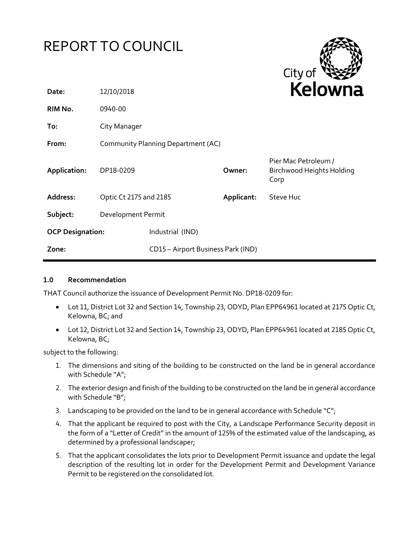# REPORT TO COUNCIL



| Date:                   | 12/10/2018             |                                    |            | <b>NEIUWHE</b>                                                   |
|-------------------------|------------------------|------------------------------------|------------|------------------------------------------------------------------|
| RIM No.                 | 0940-00                |                                    |            |                                                                  |
| To:                     | City Manager           |                                    |            |                                                                  |
| From:                   |                        | Community Planning Department (AC) |            |                                                                  |
| Application:            | DP18-0209              |                                    | Owner:     | Pier Mac Petroleum /<br><b>Birchwood Heights Holding</b><br>Corp |
| Address:                | Optic Ct 2175 and 2185 |                                    | Applicant: | Steve Huc                                                        |
| Subject:                | Development Permit     |                                    |            |                                                                  |
| <b>OCP Designation:</b> |                        | Industrial (IND)                   |            |                                                                  |
| Zone:                   |                        | CD15 - Airport Business Park (IND) |            |                                                                  |

#### **1.0 Recommendation**

THAT Council authorize the issuance of Development Permit No. DP18-0209 for:

- Lot 11, District Lot 32 and Section 14, Township 23, ODYD, Plan EPP64961 located at 2175 Optic Ct, Kelowna, BC; and
- Lot 12, District Lot 32 and Section 14, Township 23, ODYD, Plan EPP64961 located at 2185 Optic Ct, Kelowna, BC;

subject to the following:

- 1. The dimensions and siting of the building to be constructed on the land be in general accordance with Schedule "A";
- 2. The exterior design and finish of the building to be constructed on the land be in general accordance with Schedule "B";
- 3. Landscaping to be provided on the land to be in general accordance with Schedule " $C$ ";
- 4. That the applicant be required to post with the City, a Landscape Performance Security deposit in the form of a "Letter of Credit" in the amount of 125% of the estimated value of the landscaping, as determined by a professional landscaper;
- 5. That the applicant consolidates the lots prior to Development Permit issuance and update the legal description of the resulting lot in order for the Development Permit and Development Variance Permit to be registered on the consolidated lot.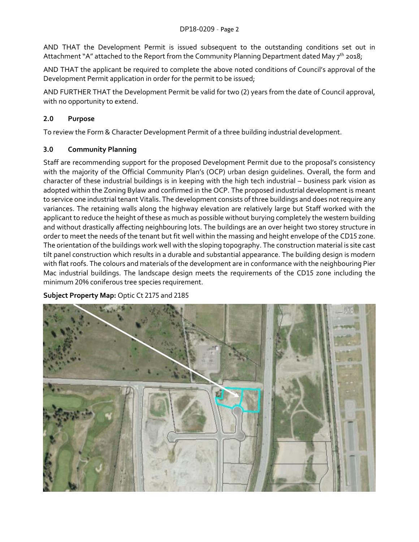AND THAT the Development Permit is issued subsequent to the outstanding conditions set out in Attachment "A" attached to the Report from the Community Planning Department dated May 7<sup>th</sup> 2018;

AND THAT the applicant be required to complete the above noted conditions of Council's approval of the Development Permit application in order for the permit to be issued;

AND FURTHER THAT the Development Permit be valid for two (2) years from the date of Council approval, with no opportunity to extend.

## **2.0 Purpose**

To review the Form & Character Development Permit of a three building industrial development.

#### **3.0 Community Planning**

Staff are recommending support for the proposed Development Permit due to the proposal's consistency with the majority of the Official Community Plan's (OCP) urban design guidelines. Overall, the form and character of these industrial buildings is in keeping with the high tech industrial – business park vision as adopted within the Zoning Bylaw and confirmed in the OCP. The proposed industrial development is meant to service one industrial tenant Vitalis. The development consists of three buildings and does not require any variances. The retaining walls along the highway elevation are relatively large but Staff worked with the applicant to reduce the height of these as much as possible without burying completely the western building and without drastically affecting neighbouring lots. The buildings are an over height two storey structure in order to meet the needs of the tenant but fit well within the massing and height envelope of the CD15 zone. The orientation of the buildings work well with the sloping topography. The construction material is site cast tilt panel construction which results in a durable and substantial appearance. The building design is modern with flat roofs. The colours and materials of the development are in conformance with the neighbouring Pier Mac industrial buildings. The landscape design meets the requirements of the CD15 zone including the minimum 20% coniferous tree species requirement.

#### **Subject Property Map:** Optic Ct 2175 and 2185

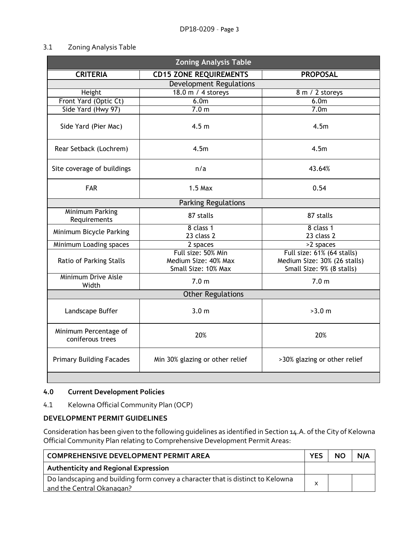#### 3.1 Zoning Analysis Table

| <b>Zoning Analysis Table</b>              |                                                                   |                                                                                         |  |
|-------------------------------------------|-------------------------------------------------------------------|-----------------------------------------------------------------------------------------|--|
| <b>CRITERIA</b>                           | <b>CD15 ZONE REQUIREMENTS</b>                                     | <b>PROPOSAL</b>                                                                         |  |
| <b>Development Regulations</b>            |                                                                   |                                                                                         |  |
| Height                                    | 18.0 m / 4 storeys                                                | 8 m / 2 storeys                                                                         |  |
| Front Yard (Optic Ct)                     | 6.0 <sub>m</sub>                                                  | 6.0 <sub>m</sub>                                                                        |  |
| Side Yard (Hwy 97)                        | 7.0 <sub>m</sub>                                                  | 7.0 <sub>m</sub>                                                                        |  |
| Side Yard (Pier Mac)                      | 4.5 <sub>m</sub>                                                  | 4.5m                                                                                    |  |
| Rear Setback (Lochrem)                    | 4.5m                                                              | 4.5 <sub>m</sub>                                                                        |  |
| Site coverage of buildings                | n/a                                                               | 43.64%                                                                                  |  |
| <b>FAR</b>                                | $1.5$ Max                                                         | 0.54                                                                                    |  |
|                                           | <b>Parking Regulations</b>                                        |                                                                                         |  |
| <b>Minimum Parking</b><br>Requirements    | 87 stalls                                                         | 87 stalls                                                                               |  |
| Minimum Bicycle Parking                   | 8 class 1<br>23 class 2                                           | 8 class 1<br>23 class 2                                                                 |  |
| Minimum Loading spaces                    | 2 spaces                                                          | >2 spaces                                                                               |  |
| Ratio of Parking Stalls                   | Full size: 50% Min<br>Medium Size: 40% Max<br>Small Size: 10% Max | Full size: 61% (64 stalls)<br>Medium Size: 30% (26 stalls)<br>Small Size: 9% (8 stalls) |  |
| Minimum Drive Aisle<br>Width              | 7.0 <sub>m</sub>                                                  | 7.0 <sub>m</sub>                                                                        |  |
| <b>Other Regulations</b>                  |                                                                   |                                                                                         |  |
| Landscape Buffer                          | 3.0 <sub>m</sub>                                                  | >3.0 m                                                                                  |  |
| Minimum Percentage of<br>coniferous trees | 20%                                                               | 20%                                                                                     |  |
| <b>Primary Building Facades</b>           | Min 30% glazing or other relief                                   | >30% glazing or other relief                                                            |  |
|                                           |                                                                   |                                                                                         |  |

#### **4.0 Current Development Policies**

4.1 Kelowna Official Community Plan (OCP)

#### **DEVELOPMENT PERMIT GUIDELINES**

Consideration has been given to the following guidelines as identified in Section 14.A. of the City of Kelowna Official Community Plan relating to Comprehensive Development Permit Areas:

| COMPREHENSIVE DEVELOPMENT PERMIT AREA                                                                        | <b>YES</b> | <b>NO</b> | N/A |
|--------------------------------------------------------------------------------------------------------------|------------|-----------|-----|
| <b>Authenticity and Regional Expression</b>                                                                  |            |           |     |
| Do landscaping and building form convey a character that is distinct to Kelowna<br>and the Central Okanagan? |            |           |     |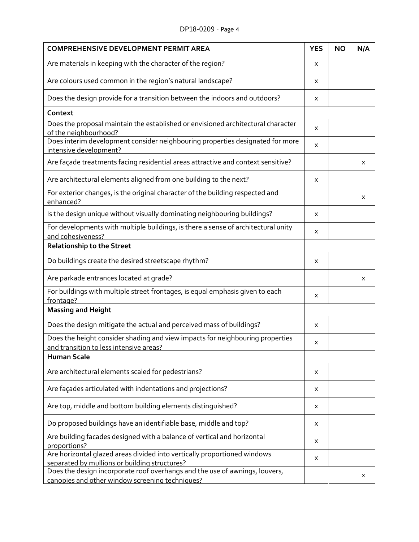## DP18-0209 – Page 4

| <b>COMPREHENSIVE DEVELOPMENT PERMIT AREA</b>                                                                                   | <b>YES</b> | <b>NO</b> | N/A |
|--------------------------------------------------------------------------------------------------------------------------------|------------|-----------|-----|
| Are materials in keeping with the character of the region?                                                                     | X          |           |     |
| Are colours used common in the region's natural landscape?                                                                     | X          |           |     |
| Does the design provide for a transition between the indoors and outdoors?                                                     | X          |           |     |
| Context                                                                                                                        |            |           |     |
| Does the proposal maintain the established or envisioned architectural character<br>of the neighbourhood?                      | X          |           |     |
| Does interim development consider neighbouring properties designated for more<br>intensive development?                        | X          |           |     |
| Are façade treatments facing residential areas attractive and context sensitive?                                               |            |           | Χ   |
| Are architectural elements aligned from one building to the next?                                                              | X          |           |     |
| For exterior changes, is the original character of the building respected and<br>enhanced?                                     |            |           | X   |
| Is the design unique without visually dominating neighbouring buildings?                                                       | X          |           |     |
| For developments with multiple buildings, is there a sense of architectural unity<br>and cohesiveness?                         | X          |           |     |
| <b>Relationship to the Street</b>                                                                                              |            |           |     |
| Do buildings create the desired streetscape rhythm?                                                                            | x          |           |     |
| Are parkade entrances located at grade?                                                                                        |            |           | X   |
| For buildings with multiple street frontages, is equal emphasis given to each<br>frontage?                                     | X          |           |     |
| <b>Massing and Height</b>                                                                                                      |            |           |     |
| Does the design mitigate the actual and perceived mass of buildings?                                                           | X          |           |     |
| Does the height consider shading and view impacts for neighbouring properties<br>and transition to less intensive areas?       | x          |           |     |
| <b>Human Scale</b>                                                                                                             |            |           |     |
| Are architectural elements scaled for pedestrians?                                                                             | Χ          |           |     |
| Are façades articulated with indentations and projections?                                                                     | X          |           |     |
| Are top, middle and bottom building elements distinguished?                                                                    | Χ          |           |     |
| Do proposed buildings have an identifiable base, middle and top?                                                               | X          |           |     |
| Are building facades designed with a balance of vertical and horizontal<br>proportions?                                        | X          |           |     |
| Are horizontal glazed areas divided into vertically proportioned windows<br>separated by mullions or building structures?      | X          |           |     |
| Does the design incorporate roof overhangs and the use of awnings, louvers,<br>canopies and other window screening techniques? |            |           | х   |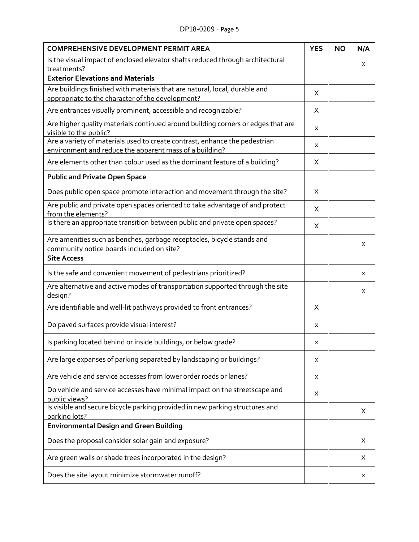| <b>COMPREHENSIVE DEVELOPMENT PERMIT AREA</b>                                                                                          |   | <b>NO</b> | N/A |
|---------------------------------------------------------------------------------------------------------------------------------------|---|-----------|-----|
| Is the visual impact of enclosed elevator shafts reduced through architectural                                                        |   |           | Χ   |
| treatments?<br><b>Exterior Elevations and Materials</b>                                                                               |   |           |     |
| Are buildings finished with materials that are natural, local, durable and                                                            | X |           |     |
| appropriate to the character of the development?                                                                                      |   |           |     |
| Are entrances visually prominent, accessible and recognizable?                                                                        | X |           |     |
| Are higher quality materials continued around building corners or edges that are<br>visible to the public?                            | X |           |     |
| Are a variety of materials used to create contrast, enhance the pedestrian<br>environment and reduce the apparent mass of a building? | X |           |     |
| Are elements other than colour used as the dominant feature of a building?                                                            | X |           |     |
| <b>Public and Private Open Space</b>                                                                                                  |   |           |     |
| Does public open space promote interaction and movement through the site?                                                             | X |           |     |
| Are public and private open spaces oriented to take advantage of and protect<br>from the elements?                                    | X |           |     |
| Is there an appropriate transition between public and private open spaces?                                                            | X |           |     |
| Are amenities such as benches, garbage receptacles, bicycle stands and                                                                |   |           | X   |
| community notice boards included on site?<br><b>Site Access</b>                                                                       |   |           |     |
| Is the safe and convenient movement of pedestrians prioritized?                                                                       |   |           | X   |
| Are alternative and active modes of transportation supported through the site<br>design?                                              |   |           | X   |
| Are identifiable and well-lit pathways provided to front entrances?                                                                   | X |           |     |
| Do paved surfaces provide visual interest?                                                                                            | X |           |     |
| Is parking located behind or inside buildings, or below grade?                                                                        | X |           |     |
| Are large expanses of parking separated by landscaping or buildings?                                                                  | X |           |     |
| Are vehicle and service accesses from lower order roads or lanes?                                                                     | X |           |     |
| Do vehicle and service accesses have minimal impact on the streetscape and<br>public views?                                           | Χ |           |     |
| Is visible and secure bicycle parking provided in new parking structures and<br>parking lots?                                         |   |           | Χ   |
| <b>Environmental Design and Green Building</b>                                                                                        |   |           |     |
| Does the proposal consider solar gain and exposure?                                                                                   |   |           | X   |
| Are green walls or shade trees incorporated in the design?                                                                            |   |           | Χ   |
| Does the site layout minimize stormwater runoff?                                                                                      |   |           | х   |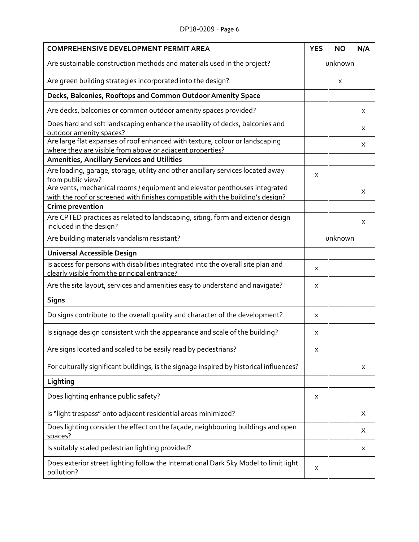#### DP18-0209 – Page 6

| <b>COMPREHENSIVE DEVELOPMENT PERMIT AREA</b>                                                                                                                                     | <b>YES</b> | <b>NO</b> | N/A |  |
|----------------------------------------------------------------------------------------------------------------------------------------------------------------------------------|------------|-----------|-----|--|
| Are sustainable construction methods and materials used in the project?                                                                                                          |            | unknown   |     |  |
| Are green building strategies incorporated into the design?                                                                                                                      |            | X         |     |  |
| Decks, Balconies, Rooftops and Common Outdoor Amenity Space                                                                                                                      |            |           |     |  |
| Are decks, balconies or common outdoor amenity spaces provided?                                                                                                                  |            |           | X   |  |
| Does hard and soft landscaping enhance the usability of decks, balconies and<br>outdoor amenity spaces?                                                                          |            |           | X   |  |
| Are large flat expanses of roof enhanced with texture, colour or landscaping<br>where they are visible from above or adjacent properties?                                        |            |           | Χ   |  |
| <b>Amenities, Ancillary Services and Utilities</b>                                                                                                                               |            |           |     |  |
| Are loading, garage, storage, utility and other ancillary services located away<br>from public view?                                                                             | X          |           |     |  |
| Are vents, mechanical rooms / equipment and elevator penthouses integrated<br>with the roof or screened with finishes compatible with the building's design?<br>Crime prevention |            |           | X   |  |
| Are CPTED practices as related to landscaping, siting, form and exterior design                                                                                                  |            |           |     |  |
| included in the design?                                                                                                                                                          |            |           | X   |  |
| Are building materials vandalism resistant?                                                                                                                                      |            | unknown   |     |  |
| <b>Universal Accessible Design</b>                                                                                                                                               |            |           |     |  |
| Is access for persons with disabilities integrated into the overall site plan and<br>clearly visible from the principal entrance?                                                | x          |           |     |  |
| Are the site layout, services and amenities easy to understand and navigate?                                                                                                     | x          |           |     |  |
| <b>Signs</b>                                                                                                                                                                     |            |           |     |  |
| Do signs contribute to the overall quality and character of the development?                                                                                                     | X          |           |     |  |
| Is signage design consistent with the appearance and scale of the building?                                                                                                      | X          |           |     |  |
| Are signs located and scaled to be easily read by pedestrians?                                                                                                                   | х          |           |     |  |
| For culturally significant buildings, is the signage inspired by historical influences?                                                                                          |            |           | X   |  |
| Lighting                                                                                                                                                                         |            |           |     |  |
| Does lighting enhance public safety?                                                                                                                                             | x          |           |     |  |
| Is "light trespass" onto adjacent residential areas minimized?                                                                                                                   |            |           | Χ   |  |
| Does lighting consider the effect on the façade, neighbouring buildings and open<br>spaces?                                                                                      |            |           | Χ   |  |
| Is suitably scaled pedestrian lighting provided?                                                                                                                                 |            |           | Χ   |  |
| Does exterior street lighting follow the International Dark Sky Model to limit light<br>pollution?                                                                               | X          |           |     |  |